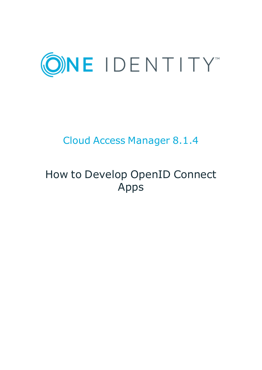

# Cloud Access Manager 8.1.4

# How to Develop OpenID Connect Apps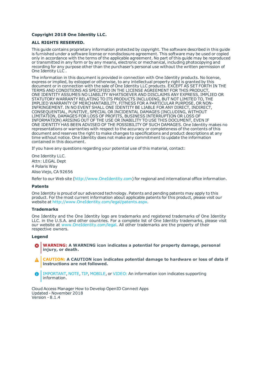#### **Copyright 2018 One Identity LLC.**

#### **ALL RIGHTS RESERVED.**

This guide contains proprietary information protected by copyright. The software described in this guide is furnished under a software license or nondisclosure agreement. This software may be used or copied only in accordance with the terms of the applicable agreement. No part of this guide may be reproduced or transmitted in any form or by any means, electronic or mechanical, including photocopying and recording for any purpose other than the purchaser's personal use without the written permission of One Identity LLC .

The information in this document is provided in connection with One Identity products. No license, express or implied, by estoppel or otherwise, to any intellectual property right is granted by this document or in connection with the sale of One Identity LLC products. EXCEPT AS SET FORTH IN THE TERMS AND CONDITIONS AS SPECIFIED IN THE LICENSE AGREEMENT FOR THIS PRODUCT, ONE IDENTITY ASSUMES NO LIABILITY WHATSOEVER AND DISCLAIMS ANY EXPRESS, IMPLIED OR STATUTORY WARRANTY RELATING TO ITS PRODUCTS INCLUDING, BUT NOT LIMITED TO, THE IMPLIED WARRANTY OF MERCHANTABILITY, FITNESS FOR A PARTICULAR PURPOSE, OR NON-INFRINGEMENT. IN NO EVENT SHALL ONE IDENTITY BE LIABLE FOR ANY DIRECT, INDIRECT, CONSEQUENTIAL, PUNITIVE, SPECIAL OR INCIDENTAL DAMAGES (INCLUDING, WITHOUT LIMITATION, DAMAGES FOR LOSS OF PROFITS, BUSINESS INTERRUPTION OR LOSS OF INFORMATION) ARISING OUT OF THE USE OR INABILITY TO USE THIS DOCUMENT, EVEN IF ONE IDENTITY HAS BEEN ADVISED OF THE POSSIBILITY OF SUCH DAMAGES. One Identity makes no representations or warranties with respect to the accuracy or completeness of the contents of this document and reserves the right to make changes to specifications and product descriptions at any time without notice. One Identity does not make any commitment to update the information contained in this document.

If you have any questions regarding your potential use of this material, contact:

One Identity LLC. Attn: LEGAL Dept 4 Polaris Way Aliso Viejo, CA 92656

Refer to our Web site ([http://www.OneIdentity.com](http://www.oneidentity.com/)) for regional and international office information.

#### **Patents**

One Identity is proud of our advanced technology. Patents and pending patents may apply to this product. For the most current information about applicable patents for this product, please visit our website at [http://www.OneIdentity.com/legal/patents.aspx](http://www.oneidentity.com/legal/patents.aspx).

#### **Trademarks**

One Identity and the One Identity logo are trademarks and registered trademarks of One Identity LLC. in the U.S.A. and other countries. For a complete list of One Identity trademarks, please visit our website at [www.OneIdentity.com/legal](http://www.oneidentity.com/legal). All other trademarks are the property of their respective owners.

#### **Legend**

- **WARNING: A WARNING icon indicates a potential for property damage, personal injury, or death.**
- **CAUTION: A CAUTION icon indicates potential damage to hardware or loss of data if instructions are not followed.**
- IMPORTANT, NOTE, TIP, MOBILE, or VIDEO: An information icon indicates supporting Œ information.

Cloud Access Manager How to Develop OpenID Connect Apps Updated - November 2018 Version - 8.1.4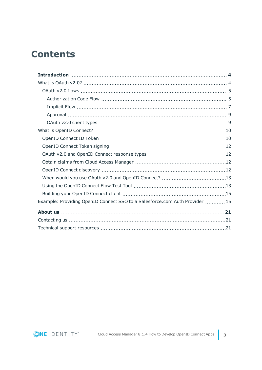## **Contents**

| Example: Providing OpenID Connect SSO to a Salesforce.com Auth Provider  15 |  |
|-----------------------------------------------------------------------------|--|
|                                                                             |  |
|                                                                             |  |
|                                                                             |  |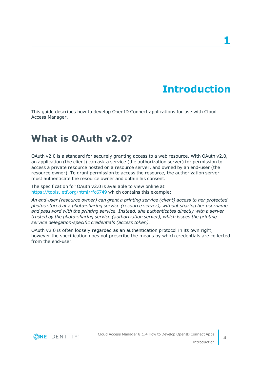# **Introduction**

<span id="page-3-0"></span>This guide describes how to develop OpenID Connect applications for use with Cloud Access Manager.

### <span id="page-3-1"></span>**What is OAuth v2.0?**

OAuth v2.0 is a standard for securely granting access to a web resource. With OAuth v2.0, an application (the client) can ask a service (the authorization server) for permission to access a private resource hosted on a resource server, and owned by an end-user (the resource owner). To grant permission to access the resource, the authorization server must authenticate the resource owner and obtain his consent.

The specification for OAuth v2.0 is available to view online at <https://tools.ietf.org/html/rfc6749> which contains this example:

*An end-user (resource owner) can grant a printing service (client) access to her protected photos stored at a photo-sharing service (resource server), without sharing her username and password with the printing service. Instead, she authenticates directly with a server trusted by the photo-sharing service (authorization server), which issues the printing service delegation-specific credentials (access token).*

OAuth v2.0 is often loosely regarded as an authentication protocol in its own right; however the specification does not prescribe the means by which credentials are collected from the end-user.

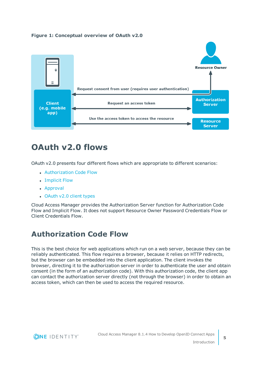



## <span id="page-4-0"></span>**OAuth v2.0 flows**

OAuth v2.0 presents four different flows which are appropriate to different scenarios:

- [Authorization](#page-4-1) Code Flow
- [Implicit](#page-6-0) Flow
- [Approval](#page-8-0)
- [OAuth](#page-8-1) v2.0 client types

Cloud Access Manager provides the Authorization Server function for Authorization Code Flow and Implicit Flow. It does not support Resource Owner Password Credentials Flow or Client Credentials Flow.

### <span id="page-4-1"></span>**Authorization Code Flow**

This is the best choice for web applications which run on a web server, because they can be reliably authenticated. This flow requires a browser, because it relies on HTTP redirects, but the browser can be embedded into the client application. The client invokes the browser, directing it to the authorization server in order to authenticate the user and obtain consent (in the form of an authorization code). With this authorization code, the client app can contact the authorization server directly (not through the browser) in order to obtain an access token, which can then be used to access the required resource.

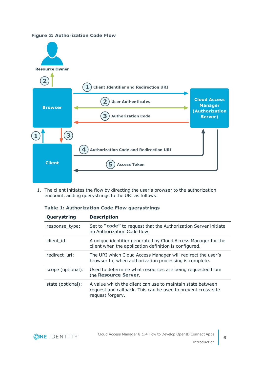#### **Figure 2: Authorization Code Flow**



1. The client initiates the flow by directing the user's browser to the authorization endpoint, adding querystrings to the URI as follows:

| Querystring       | <b>Description</b>                                                                                                                             |
|-------------------|------------------------------------------------------------------------------------------------------------------------------------------------|
| response_type:    | Set to "code" to request that the Authorization Server initiate<br>an Authorization Code flow.                                                 |
| client id:        | A unique identifier generated by Cloud Access Manager for the<br>client when the application definition is configured.                         |
| redirect uri:     | The URI which Cloud Access Manager will redirect the user's<br>browser to, when authorization processing is complete.                          |
| scope (optional): | Used to determine what resources are being requested from<br>the Resource Server.                                                              |
| state (optional): | A value which the client can use to maintain state between<br>request and callback. This can be used to prevent cross-site<br>request forgery. |

#### **Table 1: Authorization Code Flow querystrings**

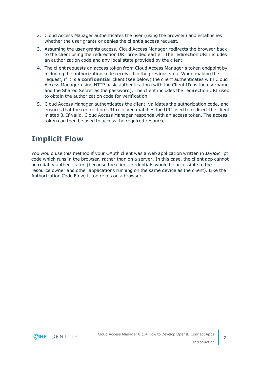- 2. Cloud Access Manager authenticates the user (using the browser) and establishes whether the user grants or denies the client's access request.
- 3. Assuming the user grants access, Cloud Access Manager redirects the browser back to the client using the redirection URI provided earlier. The redirection URI includes an authorization code and any local state provided by the client.
- 4. The client requests an access token from Cloud Access Manager's token endpoint by including the authorization code received in the previous step. When making the request, if it is a **confidential** client (see below) the client authenticates with Cloud Access Manager using HTTP basic authentication (with the Client ID as the username and the Shared Secret as the password). The client includes the redirection URI used to obtain the authorization code for verification.
- 5. Cloud Access Manager authenticates the client, validates the authorization code, and ensures that the redirection URI received matches the URI used to redirect the client in step 3. If valid, Cloud Access Manager responds with an access token. The access token can then be used to access the required resource.

### <span id="page-6-0"></span>**Implicit Flow**

You would use this method if your OAuth client was a web application written in JavaScript code which runs in the browser, rather than on a server. In this case, the client app cannot be reliably authenticated (because the client credentials would be accessible to the resource owner and other applications running on the same device as the client). Like the Authorization Code Flow, it too relies on a browser.

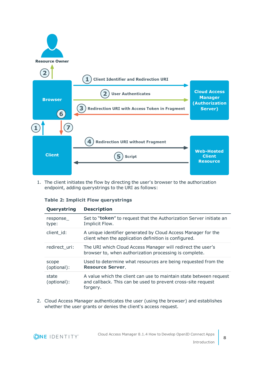

1. The client initiates the flow by directing the user's browser to the authorization endpoint, adding querystrings to the URI as follows:

|  |  |  |  | <b>Table 2: Implicit Flow querystrings</b> |
|--|--|--|--|--------------------------------------------|
|--|--|--|--|--------------------------------------------|

| Querystring          | <b>Description</b>                                                                                                                             |
|----------------------|------------------------------------------------------------------------------------------------------------------------------------------------|
| response<br>type:    | Set to " <b>token</b> " to request that the Authorization Server initiate an<br>Implicit Flow.                                                 |
| client id:           | A unique identifier generated by Cloud Access Manager for the<br>client when the application definition is configured.                         |
| redirect uri:        | The URI which Cloud Access Manager will redirect the user's<br>browser to, when authorization processing is complete.                          |
| scope<br>(optional): | Used to determine what resources are being requested from the<br><b>Resource Server.</b>                                                       |
| state<br>(optional): | A value which the client can use to maintain state between request<br>and callback. This can be used to prevent cross-site request<br>forgery. |

2. Cloud Access Manager authenticates the user (using the browser) and establishes whether the user grants or denies the client's access request.

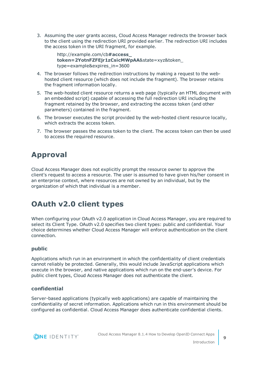3. Assuming the user grants access, Cloud Access Manager redirects the browser back to the client using the redirection URI provided earlier. The redirection URI includes the access token in the URI fragment, for example.

```
http://example.com/cb#access_
token=2YotnFZFEjr1zCsicMWpAA&state=xyz&token_
type=example&expires_in=3600
```
- 4. The browser follows the redirection instructions by making a request to the webhosted client resource (which does not include the fragment). The browser retains the fragment information locally.
- 5. The web-hosted client resource returns a web page (typically an HTML document with an embedded script) capable of accessing the full redirection URI including the fragment retained by the browser, and extracting the access token (and other parameters) contained in the fragment.
- 6. The browser executes the script provided by the web-hosted client resource locally, which extracts the access token.
- 7. The browser passes the access token to the client. The access token can then be used to access the required resource.

### <span id="page-8-0"></span>**Approval**

Cloud Access Manager does not explicitly prompt the resource owner to approve the client's request to access a resource. The user is assumed to have given his/her consent in an enterprise context, where resources are not owned by an individual, but by the organization of which that individual is a member.

### <span id="page-8-1"></span>**OAuth v2.0 client types**

When configuring your OAuth v2.0 application in Cloud Access Manager, you are required to select its Client Type. OAuth v2.0 specifies two client types: public and confidential. Your choice determines whether Cloud Access Manager will enforce authentication on the client connection.

#### **public**

Applications which run in an environment in which the confidentiality of client credentials cannot reliably be protected. Generally, this would include JavaScript applications which execute in the browser, and native applications which run on the end-user's device. For public client types, Cloud Access Manager does not authenticate the client.

#### **confidential**

Server-based applications (typically web applications) are capable of maintaining the confidentiality of secret information. Applications which run in this environment should be configured as confidential. Cloud Access Manager does authenticate confidential clients.

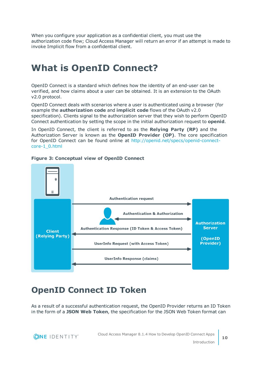When you configure your application as a confidential client, you must use the authorization code flow; Cloud Access Manager will return an error if an attempt is made to invoke Implicit flow from a confidential client.

## <span id="page-9-0"></span>**What is OpenID Connect?**

OpenID Connect is a standard which defines how the identity of an end-user can be verified, and how claims about a user can be obtained. It is an extension to the OAuth v2.0 protocol.

OpenID Connect deals with scenarios where a user is authenticated using a browser (for example the **authorization code** and **implicit code** flows of the OAuth v2.0 specification). Clients signal to the authorization server that they wish to perform OpenID Connect authentication by setting the scope in the initial authorization request to **openid**.

In OpenID Connect, the client is referred to as the **Relying Party (RP)** and the Authorization Server is known as the **OpenID Provider (OP)**. The core specification for OpenID Connect can be found online at [http://openid.net/specs/openid-connect](http://openid.net/specs/openid-connect-core-1_0.html)[core-1\\_0.html](http://openid.net/specs/openid-connect-core-1_0.html)



#### **Figure 3: Conceptual view of OpenID Connect**

### <span id="page-9-1"></span>**OpenID Connect ID Token**

As a result of a successful authentication request, the OpenID Provider returns an ID Token in the form of a **JSON Web Token**, the specification for the JSON Web Token format can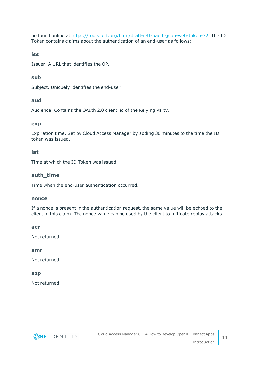be found online at <https://tools.ietf.org/html/draft-ietf-oauth-json-web-token-32>. The ID Token contains claims about the authentication of an end-user as follows:

#### **iss**

Issuer. A URL that identifies the OP.

#### **sub**

Subject. Uniquely identifies the end-user

#### **aud**

Audience. Contains the OAuth 2.0 client\_id of the Relying Party.

#### **exp**

Expiration time. Set by Cloud Access Manager by adding 30 minutes to the time the ID token was issued.

#### **iat**

Time at which the ID Token was issued.

#### **auth\_time**

Time when the end-user authentication occurred.

#### **nonce**

If a nonce is present in the authentication request, the same value will be echoed to the client in this claim. The nonce value can be used by the client to mitigate replay attacks.

#### **acr**

Not returned.

#### **amr**

Not returned.

#### **azp**

Not returned.

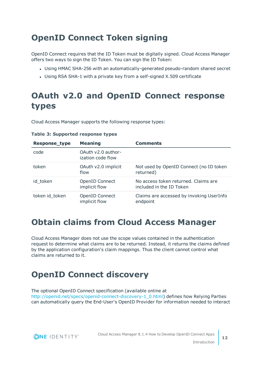### <span id="page-11-0"></span>**OpenID Connect Token signing**

OpenID Connect requires that the ID Token must be digitally signed. Cloud Access Manager offers two ways to sign the ID Token. You can sign the ID Token:

- Using HMAC SHA-256 with an automatically-generated pseudo-random shared secret
- Using RSA SHA-1 with a private key from a self-signed X.509 certificate

## <span id="page-11-1"></span>**OAuth v2.0 and OpenID Connect response types**

Cloud Access Manager supports the following response types:

| <b>Response_type</b> | <b>Meaning</b>                          | <b>Comments</b>                                                  |
|----------------------|-----------------------------------------|------------------------------------------------------------------|
| code                 | OAuth v2.0 author-<br>ization code flow |                                                                  |
| token                | OAuth v2.0 implicit<br>flow             | Not used by OpenID Connect (no ID token<br>returned)             |
| id token             | OpenID Connect<br>implicit flow         | No access token returned. Claims are<br>included in the ID Token |
| token id_token       | OpenID Connect<br>implicit flow         | Claims are accessed by invoking UserInfo<br>endpoint             |

#### **Table 3: Supported response types**

### <span id="page-11-2"></span>**Obtain claims from Cloud Access Manager**

Cloud Access Manager does not use the scope values contained in the authentication request to determine what claims are to be returned. Instead, it returns the claims defined by the application configuration's claim mappings. Thus the client cannot control what claims are returned to it.

### <span id="page-11-3"></span>**OpenID Connect discovery**

The optional OpenID Connect specification (available online at [http://openid.net/specs/openid-connect-discovery-1\\_0.html](http://openid.net/specs/openid-connect-discovery-1_0.html)) defines how Relying Parties can automatically query the End-User's OpenID Provider for information needed to interact

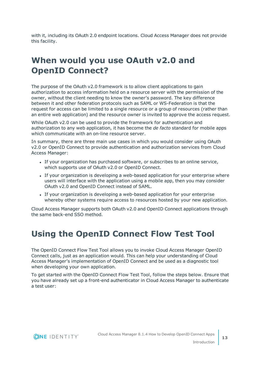with it, including its OAuth 2.0 endpoint locations. Cloud Access Manager does not provide this facility.

### <span id="page-12-0"></span>**When would you use OAuth v2.0 and OpenID Connect?**

The purpose of the OAuth v2.0 framework is to allow client applications to gain authorization to access information held on a resource server with the permission of the owner, without the client needing to know the owner's password. The key difference between it and other federation protocols such as SAML or WS-Federation is that the request for access can be limited to a single resource or a group of resources (rather than an entire web application) and the resource owner is invited to approve the access request.

While OAuth v2.0 can be used to provide the framework for authentication and authorization to any web application, it has become the *de facto* standard for mobile apps which communicate with an on-line resource server.

In summary, there are three main use cases in which you would consider using OAuth v2.0 or OpenID Connect to provide authentication and authorization services from Cloud Access Manager:

- If your organization has purchased software, or subscribes to an online service, which supports use of OAuth v2.0 or OpenID Connect.
- If your organization is developing a web-based application for your enterprise where users will interface with the application using a mobile app, then you may consider OAuth v2.0 and OpenID Connect instead of SAML.
- If your organization is developing a web-based application for your enterprise whereby other systems require access to resources hosted by your new application.

Cloud Access Manager supports both OAuth v2.0 and OpenID Connect applications through the same back-end SSO method.

### <span id="page-12-1"></span>**Using the OpenID Connect Flow Test Tool**

The OpenID Connect Flow Test Tool allows you to invoke Cloud Access Manager OpenID Connect calls, just as an application would. This can help your understanding of Cloud Access Manager's implementation of OpenID Connect and be used as a diagnostic tool when developing your own application.

To get started with the OpenID Connect Flow Test Tool, follow the steps below. Ensure that you have already set up a front-end authenticator in Cloud Access Manager to authenticate a test user:

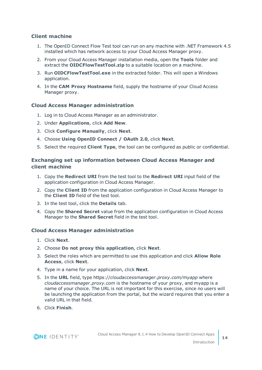#### **Client machine**

- 1. The OpenID Connect Flow Test tool can run on any machine with .NET Framework 4.5 installed which has network access to your Cloud Access Manager proxy.
- 2. From your Cloud Access Manager installation media, open the **Tools** folder and extract the **OIDCFlowTestTool.zip** to a suitable location on a machine.
- 3. Run **OIDCFlowTestTool.exe** in the extracted folder. This will open a Windows application.
- 4. In the **CAM Proxy Hostname** field, supply the hostname of your Cloud Access Manager proxy.

#### **Cloud Access Manager administration**

- 1. Log in to Cloud Access Manager as an administrator.
- 2. Under **Applications**, click **Add New**.
- 3. Click **Configure Manually**, click **Next**.
- 4. Choose **Using OpenID Connect / OAuth 2.0**, click **Next**.
- 5. Select the required **Client Type**, the tool can be configured as public or confidential.

#### **Exchanging set up information between Cloud Access Manager and client machine**

- 1. Copy the **Redirect URI** from the test tool to the **Redirect URI** input field of the application configuration in Cloud Access Manager.
- 2. Copy the **Client ID** from the application configuration in Cloud Access Manager to the **Client ID** field of the test tool.
- 3. In the test tool, click the **Details** tab.
- 4. Copy the **Shared Secret** value from the application configuration in Cloud Access Manager to the **Shared Secret** field in the test tool.

#### **Cloud Access Manager administration**

- 1. Click **Next**.
- 2. Choose **Do not proxy this application**, click **Next**.
- 3. Select the roles which are permitted to use this application and click **Allow Role Access**, click **Next**.
- 4. Type in a name for your application, click **Next**.
- 5. In the **URL** field, type https://*cloudaccessmanager.proxy.com/myapp* where *cloudaccessmanager.proxy.com* is the hostname of your proxy, and myapp is a name of your choice. The URL is not important for this exercise, since no users will be launching the application from the portal, but the wizard requires that you enter a valid URL in that field.
- 6. Click **Finish**.

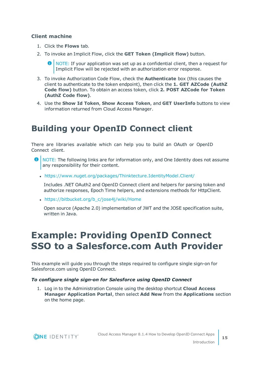#### **Client machine**

- 1. Click the **Flows** tab.
- 2. To invoke an Implicit Flow, click the **GET Token (Implicit flow)** button.

6 NOTE: If your application was set up as a confidential client, then a request for Implicit Flow will be rejected with an authorization error response.

- 3. To invoke Authorization Code Flow, check the **Authenticate** box (this causes the client to authenticate to the token endpoint), then click the **1. GET AZCode (AuthZ Code flow)** button. To obtain an access token, click **2. POST AZCode for Token (AuthZ Code flow)**.
- 4. Use the **Show Id Token**, **Show Access Token**, and **GET UserInfo** buttons to view information returned from Cloud Access Manager.

### <span id="page-14-0"></span>**Building your OpenID Connect client**

There are libraries available which can help you to build an OAuth or OpenID Connect client.

- **O** NOTE: The following links are for information only, and One Identity does not assume any responsibility for their content.
	- . <https://www.nuget.org/packages/Thinktecture.IdentityModel.Client/>

Includes .NET OAuth2 and OpenID Connect client and helpers for parsing token and authorize responses, Epoch Time helpers, and extensions methods for HttpClient.

• [https://bitbucket.org/b\\_c/jose4j/wiki/Home](https://bitbucket.org/b_c/jose4j/wiki/Home)

Open source (Apache 2.0) implementation of JWT and the JOSE specification suite, written in Java.

## <span id="page-14-1"></span>**Example: Providing OpenID Connect SSO to a Salesforce.com Auth Provider**

This example will guide you through the steps required to configure single sign-on for Salesforce.com using OpenID Connect.

#### *To configure single sign-on for Salesforce using OpenID Connect*

1. Log in to the Administration Console using the desktop shortcut **Cloud Access Manager Application Portal**, then select **Add New** from the **Applications** section on the home page.

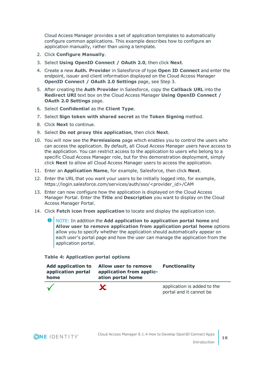Cloud Access Manager provides a set of application templates to automatically configure common applications. This example describes how to configure an application manually, rather than using a template.

- 2. Click **Configure Manually**.
- 3. Select **Using OpenID Connect / OAuth 2.0**, then click **Next**.
- 4. Create a new **Auth. Provider** in Salesforce of type **Open ID Connect** and enter the endpoint, issuer and client information displayed on the Cloud Access Manager **OpenID Connect / OAuth 2.0 Settings** page, see Step 3.
- 5. After creating the **Auth Provider** in Salesforce, copy the **Callback URL** into the **Redirect URI** text box on the Cloud Access Manager **Using OpenID Connect / OAuth 2.0 Settings** page.
- 6. Select **Confidential** as the **Client Type**.
- 7. Select **Sign token with shared secret** as the **Token Signing** method.
- 8. Click **Next** to continue.
- 9. Select **Do not proxy this application**, then click **Next**.
- 10. You will now see the **Permissions** page which enables you to control the users who can access the application. By default, all Cloud Access Manager users have access to the application. You can restrict access to the application to users who belong to a specific Cloud Access Manager role, but for this demonstration deployment, simply click **Next** to allow all Cloud Access Manager users to access the application.
- 11. Enter an **Application Name**, for example, Salesforce, then click **Next**.
- 12. Enter the URL that you want your users to be initially logged into, for example, https://login.salesforce.com/services/auth/sso/<provider\_id>/CAM
- 13. Enter can now configure how the application is displayed on the Cloud Access Manager Portal. Enter the **Title** and **Description** you want to display on the Cloud Access Manager Portal.
- 14. Click **Fetch icon from application** to locate and display the application icon.
	- 0 NOTE: In addition the **Add application to application portal home** and **Allow user to remove application from application portal home** options allow you to specify whether the application should automatically appear on each user's portal page and how the user can manage the application from the application portal.

#### **Table 4: Application portal options**

| <b>Add application to</b><br>application portal<br>home | Allow user to remove<br>application from applic-<br>ation portal home | <b>Functionality</b>        |
|---------------------------------------------------------|-----------------------------------------------------------------------|-----------------------------|
|                                                         |                                                                       | application is added to the |

portal and it cannot be

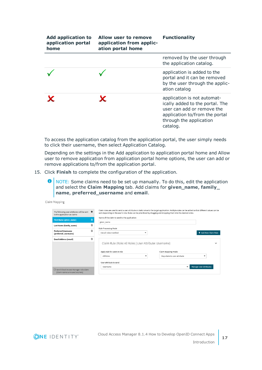| <b>Add application to</b><br>application portal<br>home | Allow user to remove<br>application from applic-<br>ation portal home | <b>Functionality</b>                                                                                                                                                  |
|---------------------------------------------------------|-----------------------------------------------------------------------|-----------------------------------------------------------------------------------------------------------------------------------------------------------------------|
|                                                         |                                                                       | removed by the user through<br>the application catalog.                                                                                                               |
|                                                         |                                                                       | application is added to the<br>portal and it can be removed<br>by the user through the applic-<br>ation catalog                                                       |
|                                                         |                                                                       | application is not automat-<br>ically added to the portal. The<br>user can add or remove the<br>application to/from the portal<br>through the application<br>catalog. |

To access the application catalog from the application portal, the user simply needs to click their username, then select Application Catalog.

Depending on the settings in the Add application to application portal home and Allow user to remove application from application portal home options, the user can add or remove applications to/from the application portal.

15. Click **Finish** to complete the configuration of the application.

**O** NOTE: Some claims need to be set up manually. To do this, edit the application and select the **Claim Mapping** tab. Add claims for **given\_name**, **family\_ name**, **preferred\_username** and **email**.

|  | Claim Mapping |
|--|---------------|
|--|---------------|

| The following user attributes will be sent<br>to the application as claims | ۰ | Claim rules are used to send a user attribute or static value to the target application. Multiple rules can be added so that different values can be<br>sent depending on the user's role. Rules can be prioritized by dragging and dropping them into the desired order. |                             |   |                        |
|----------------------------------------------------------------------------|---|---------------------------------------------------------------------------------------------------------------------------------------------------------------------------------------------------------------------------------------------------------------------------|-----------------------------|---|------------------------|
| <b>First Name (given name)</b>                                             | 俞 | Name of the claim to send to the application                                                                                                                                                                                                                              |                             |   |                        |
|                                                                            |   | given name                                                                                                                                                                                                                                                                |                             |   |                        |
| Last Name (family_name)                                                    | □ |                                                                                                                                                                                                                                                                           |                             |   |                        |
| <b>Preferred Username</b>                                                  | 俞 | Rule Processing Mode<br>Use all rules matched<br>▼                                                                                                                                                                                                                        |                             |   | + Add New Claim Rule   |
| (preferred_username)                                                       |   |                                                                                                                                                                                                                                                                           |                             |   |                        |
| <b>Email Address (email)</b>                                               | 俞 |                                                                                                                                                                                                                                                                           |                             |   |                        |
|                                                                            |   | Claim Rule (Role: All Roles   User Attribute: Username)                                                                                                                                                                                                                   |                             |   | $\checkmark$           |
|                                                                            |   | Apply rule for users in role                                                                                                                                                                                                                                              | Claim mapping mode          |   |                        |
|                                                                            |   | All Roles<br>$\checkmark$                                                                                                                                                                                                                                                 | Map claim to user attribute |   | $\mathbf{r}$           |
|                                                                            |   | User attribute to send                                                                                                                                                                                                                                                    |                             |   |                        |
|                                                                            |   | Username                                                                                                                                                                                                                                                                  |                             | ▼ | Manage User Attributes |
| □ Send Cloud Access Manager role claim<br>[Claim name: urn:cam/sso/role]   |   |                                                                                                                                                                                                                                                                           |                             |   |                        |

**ONE IDENTITY**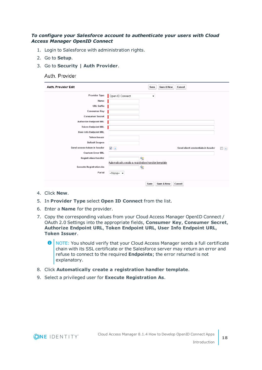#### *To configure your Salesforce account to authenticate your users with Cloud Access Manager OpenID Connect*

- 1. Login to Salesforce with administration rights.
- 2. Go to **Setup**.
- 3. Go to **Security | Auth Provider**.

#### Auth, Provider

| <b>Auth. Provider Edit</b>     | Save & New<br>Save<br>Cancel                         |                      |
|--------------------------------|------------------------------------------------------|----------------------|
| Provider Type                  | Open ID Connect<br>۰                                 |                      |
| Name                           |                                                      |                      |
| <b>URL Suffix</b>              |                                                      |                      |
| Consumer Key                   |                                                      |                      |
| <b>Consumer Secret</b>         |                                                      |                      |
| <b>Authorize Endpoint URL</b>  |                                                      |                      |
| <b>Token Endpoint URL</b>      |                                                      |                      |
| <b>User Info Endpoint URL</b>  |                                                      |                      |
| <b>Token Issuer</b>            |                                                      |                      |
| <b>Default Scopes</b>          |                                                      |                      |
| Send access token in header    | Send client credentials in header<br>$\sqrt{i}$      | n<br>$\vert i \vert$ |
| <b>Custom Error URL</b>        |                                                      |                      |
| <b>Registration Handler</b>    | $\mathbf{Q}_\parallel$                               |                      |
|                                | Automatically create a registration handler template |                      |
| <b>Execute Registration As</b> | $\mathbf{R}$                                         |                      |
| Portal                         | $-None \star$                                        |                      |
|                                |                                                      |                      |
|                                | Save & New<br>Cancel<br>Save                         |                      |

- 4. Click **New**.
- 5. In **Provider Type** select **Open ID Connect** from the list.
- 6. Enter a **Name** for the provider.
- 7. Copy the corresponding values from your Cloud Access Manager OpenID Connect / OAuth 2.0 Settings into the appropriate fields, **Consumer Key**, **Consumer Secret**, **Authorize Endpoint URL**, **Token Endpoint URL**, **User Info Endpoint URL**, **Token Issuer**.

**O** NOTE: You should verify that your Cloud Access Manager sends a full certificate chain with its SSL certificate or the Salesforce server may return an error and refuse to connect to the required **Endpoints**; the error returned is not explanatory.

- 8. Click **Automatically create a registration handler template**.
- 9. Select a privileged user for **Execute Registration As**.

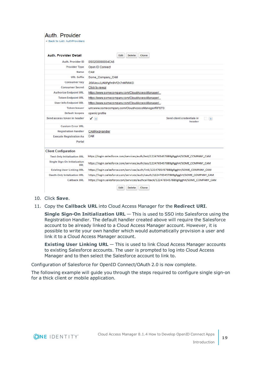#### Auth, Provider « Back to List: AuthProviders

| <b>Auth. Provider Detail</b>         | <b>Edit</b><br><b>Delete</b><br>Clone                                                   |  |
|--------------------------------------|-----------------------------------------------------------------------------------------|--|
|                                      |                                                                                         |  |
| <b>Auth, Provider ID</b>             | 0SO200000004CA6                                                                         |  |
| <b>Provider Type</b>                 | Open ID Connect                                                                         |  |
| Name                                 | <b>CAM</b>                                                                              |  |
| <b>URL Suffix</b>                    | Some Company CAM                                                                        |  |
| <b>Consumer Key</b>                  | 2EdUevu1vNbPgfm9hFZn7nNfMWZi                                                            |  |
| <b>Consumer Secret</b>               | Click to reveal                                                                         |  |
| <b>Authorize Endpoint URL</b>        | https://www.somecompany.com/CloudAccessManager/                                         |  |
| <b>Token Endpoint URL</b>            | https://www.somecompany.com/CloudAccessManager/                                         |  |
| <b>User Info Endpoint URL</b>        | https://www.somecompany.com/CloudAccessManager/                                         |  |
| <b>Token Issuer</b>                  | urn:www.somecompany.com/CloudAccessManager/RPSTS                                        |  |
| <b>Default Scopes</b>                | openid profile                                                                          |  |
| Send access token in header          | Send client credentials in<br>$\sqrt{1}$<br>$\Box$ i<br>header                          |  |
| <b>Custom Error URL</b>              |                                                                                         |  |
| <b>Registration Handler</b>          | CAMRegHandler                                                                           |  |
| <b>Execute Registration As</b>       | CAM                                                                                     |  |
| Portal                               |                                                                                         |  |
| <b>Client Configuration</b>          |                                                                                         |  |
| <b>Test-Only Initialization URL</b>  | https://login.salesforce.com/services/auth/test/1224765457889gRgghH/SOME COMPANY CAM    |  |
| Single Sign-On Initialization<br>URI | https://login.salesforce.com/services/auth/sso/1224765457889gRgghH/SOME_COMPANY_CAM     |  |
| <b>Existing User Linking URL</b>     | https://login.salesforce.com/services/auth/link/1224765457889gRgghH/SOME_COMPANY_CAM    |  |
| <b>Oauth-Only Initalization URL</b>  | https://login.salesforce.com/services/auth/oauth/1224765457889gRgghH/SOME_COMPANY_CAM   |  |
| <b>Callback URL</b>                  | https://login.salesforce.com/services/authcallback/1224765457889gRgghH/SOME_COMPANY_CAM |  |
|                                      | Clone<br>Edit<br><b>Delete</b>                                                          |  |

- 10. Click **Save**.
- 11. Copy the **Callback URL** into Cloud Access Manager for the **Redirect URI**.

**Single Sign-On Initialization URL** — This is used to SSO into Salesforce using the Registration Handler. The default handler created above will require the Salesforce account to be already linked to a Cloud Access Manager account. However, it is possible to write your own handler which would automatically provision a user and link it to a Cloud Access Manager account.

**Existing User Linking URL** — This is used to link Cloud Access Manager accounts to existing Salesforce accounts. The user is prompted to log into Cloud Access Manager and to then select the Salesforce account to link to.

Configuration of Salesforce for OpenID Connect/OAuth 2.0 is now complete.

The following example will guide you through the steps required to configure single sign-on for a thick client or mobile application.

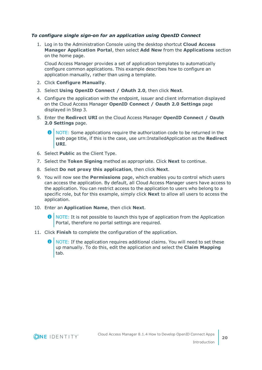#### *To configure single sign-on for an application using OpenID Connect*

1. Log in to the Administration Console using the desktop shortcut **Cloud Access Manager Application Portal**, then select **Add New** from the **Applications** section on the home page.

Cloud Access Manager provides a set of application templates to automatically configure common applications. This example describes how to configure an application manually, rather than using a template.

- 2. Click **Configure Manually**.
- 3. Select **Using OpenID Connect / OAuth 2.0**, then click **Next**.
- 4. Configure the application with the endpoint, issuer and client information displayed on the Cloud Access Manager **OpenID Connect / Oauth 2.0 Settings** page displayed in Step 3.
- 5. Enter the **Redirect URI** on the Cloud Access Manager **OpenID Connect / Oauth 2.0 Settings** page.
	- 0 NOTE: Some applications require the authorization code to be returned in the web page title, if this is the case, use urn:InstalledApplication as the **Redirect URI**.
- 6. Select **Public** as the Client Type.
- 7. Select the **Token Signing** method as appropriate. Click **Next** to continue.
- 8. Select **Do not proxy this application**, then click **Next**.
- 9. You will now see the **Permissions** page, which enables you to control which users can access the application. By default, all Cloud Access Manager users have access to the application. You can restrict access to the application to users who belong to a specific role, but for this example, simply click **Next** to allow all users to access the application.
- 10. Enter an **Application Name**, then click **Next**.
	- $\bullet$  NOTE: It is not possible to launch this type of application from the Application Portal, therefore no portal settings are required.
- 11. Click **Finish** to complete the configuration of the application.
	- NOTE: If the application requires additional claims. You will need to set these up manually. To do this, edit the application and select the **Claim Mapping** tab.



**20**